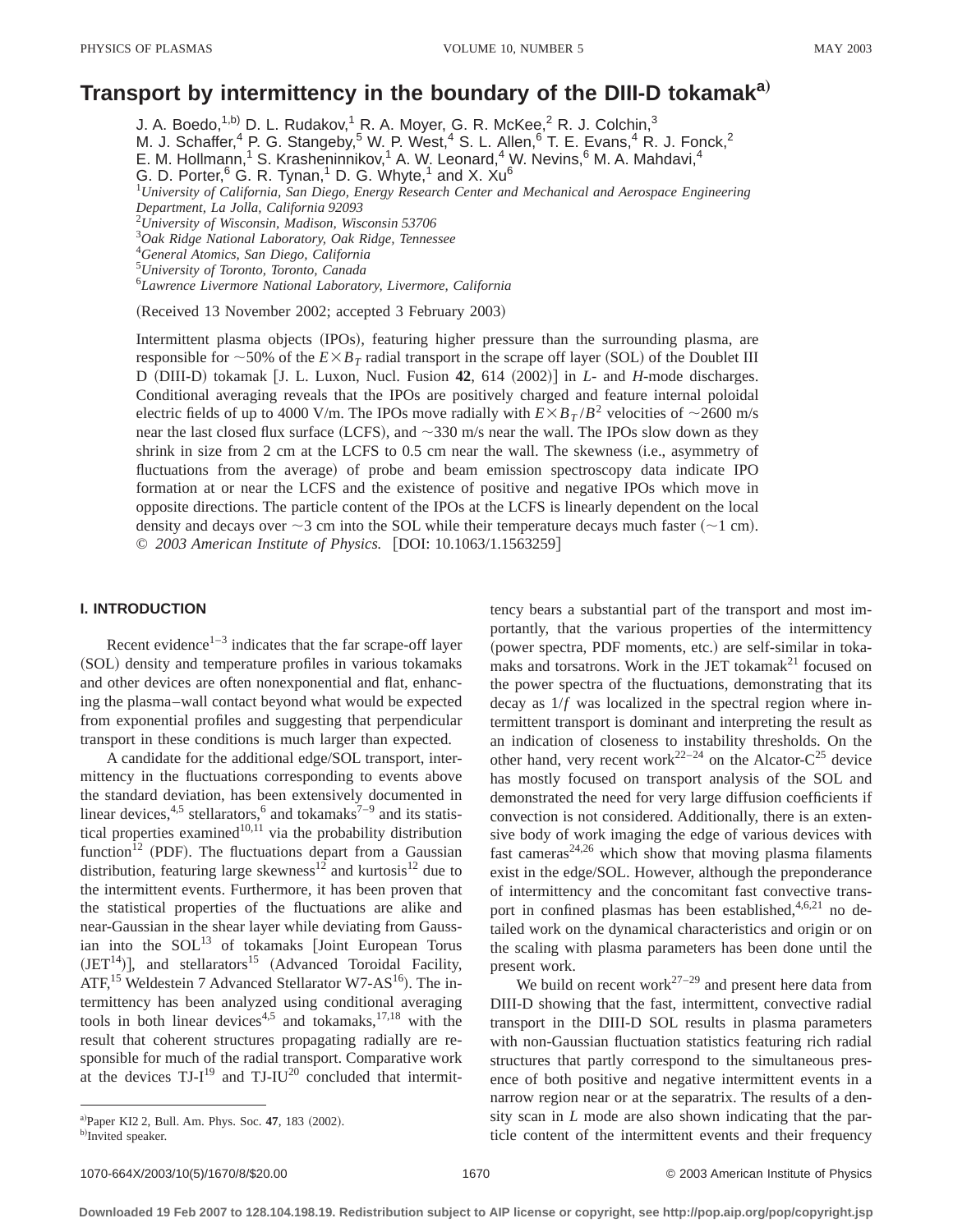# **Transport by intermittency in the boundary of the DIII-D tokamaka**…

J. A. Boedo,<sup>1,b)</sup> D. L. Rudakov,<sup>1</sup> R. A. Moyer, G. R. McKee,<sup>2</sup> R. J. Colchin,<sup>3</sup>

M. J. Schaffer,<sup>4</sup> P. G. Stangeby,<sup>5</sup> W. P. West,<sup>4</sup> S. L. Allen,<sup>6</sup> T. E. Evans,<sup>4</sup> R. J. Fonck,<sup>2</sup>

E. M. Hollmann,<sup>1</sup> S. Krasheninnikov,<sup>1</sup> A. W. Leonard,<sup>4</sup> W. Nevins,  $6$  M. A. Mahdavi,<sup>4</sup>

G. D. Porter,  $6$  G. R. Tynan, <sup>1</sup> D. G. Whyte, <sup>1</sup> and X. Xu<sup>6</sup>

1 *University of California, San Diego, Energy Research Center and Mechanical and Aerospace Engineering Department, La Jolla, California 92093*

2 *University of Wisconsin, Madison, Wisconsin 53706*

3 *Oak Ridge National Laboratory, Oak Ridge, Tennessee*

4 *General Atomics, San Diego, California*

5 *University of Toronto, Toronto, Canada*

6 *Lawrence Livermore National Laboratory, Livermore, California*

(Received 13 November 2002; accepted 3 February 2003)

Intermittent plasma objects (IPOs), featuring higher pressure than the surrounding plasma, are responsible for  $\sim$ 50% of the  $E \times B_T$  radial transport in the scrape off layer (SOL) of the Doublet III D (DIII-D) tokamak [J. L. Luxon, Nucl. Fusion 42, 614 (2002)] in *L*- and *H*-mode discharges. Conditional averaging reveals that the IPOs are positively charged and feature internal poloidal electric fields of up to 4000 V/m. The IPOs move radially with  $E \times B_T / B^2$  velocities of  $\sim$ 2600 m/s near the last closed flux surface (LCFS), and  $\sim$ 330 m/s near the wall. The IPOs slow down as they shrink in size from  $2 \text{ cm}$  at the LCFS to  $0.5 \text{ cm}$  near the wall. The skewness (i.e., asymmetry of fluctuations from the average) of probe and beam emission spectroscopy data indicate IPO formation at or near the LCFS and the existence of positive and negative IPOs which move in opposite directions. The particle content of the IPOs at the LCFS is linearly dependent on the local density and decays over  $\sim$ 3 cm into the SOL while their temperature decays much faster ( $\sim$ 1 cm). © 2003 American Institute of Physics. [DOI: 10.1063/1.1563259]

## **I. INTRODUCTION**

Recent evidence $1-3$  indicates that the far scrape-off layer (SOL) density and temperature profiles in various tokamaks and other devices are often nonexponential and flat, enhancing the plasma–wall contact beyond what would be expected from exponential profiles and suggesting that perpendicular transport in these conditions is much larger than expected.

A candidate for the additional edge/SOL transport, intermittency in the fluctuations corresponding to events above the standard deviation, has been extensively documented in linear devices, $4.5$  stellarators, $6$  and tokamaks<sup>7–9</sup> and its statistical properties examined $10,11$  via the probability distribution function<sup>12</sup> (PDF). The fluctuations depart from a Gaussian distribution, featuring large skewness<sup>12</sup> and kurtosis<sup>12</sup> due to the intermittent events. Furthermore, it has been proven that the statistical properties of the fluctuations are alike and near-Gaussian in the shear layer while deviating from Gaussian into the  $SOL<sup>13</sup>$  of tokamaks [Joint European Torus  $(JET<sup>14</sup>)$ ], and stellarators<sup>15</sup> (Advanced Toroidal Facility, ATF,<sup>15</sup> Weldestein 7 Advanced Stellarator W7-AS<sup>16</sup>). The intermittency has been analyzed using conditional averaging tools in both linear devices<sup>4,5</sup> and tokamaks, $17,18$  with the result that coherent structures propagating radially are responsible for much of the radial transport. Comparative work at the devices  $TJ-I^{19}$  and  $TJ-IU^{20}$  concluded that intermittency bears a substantial part of the transport and most importantly, that the various properties of the intermittency (power spectra, PDF moments, etc.) are self-similar in tokamaks and torsatrons. Work in the JET tokama $k^{21}$  focused on the power spectra of the fluctuations, demonstrating that its decay as 1/*f* was localized in the spectral region where intermittent transport is dominant and interpreting the result as an indication of closeness to instability thresholds. On the other hand, very recent work<sup>22–24</sup> on the Alcator-C<sup>25</sup> device has mostly focused on transport analysis of the SOL and demonstrated the need for very large diffusion coefficients if convection is not considered. Additionally, there is an extensive body of work imaging the edge of various devices with fast cameras<sup>24,26</sup> which show that moving plasma filaments exist in the edge/SOL. However, although the preponderance of intermittency and the concomitant fast convective transport in confined plasmas has been established,  $4,6,21$  no detailed work on the dynamical characteristics and origin or on the scaling with plasma parameters has been done until the present work.

We build on recent work<sup>27–29</sup> and present here data from DIII-D showing that the fast, intermittent, convective radial transport in the DIII-D SOL results in plasma parameters with non-Gaussian fluctuation statistics featuring rich radial structures that partly correspond to the simultaneous presence of both positive and negative intermittent events in a narrow region near or at the separatrix. The results of a density scan in *L* mode are also shown indicating that the particle content of the intermittent events and their frequency

a)Paper KI2 2, Bull. Am. Phys. Soc. 47, 183 (2002).

b)Invited speaker.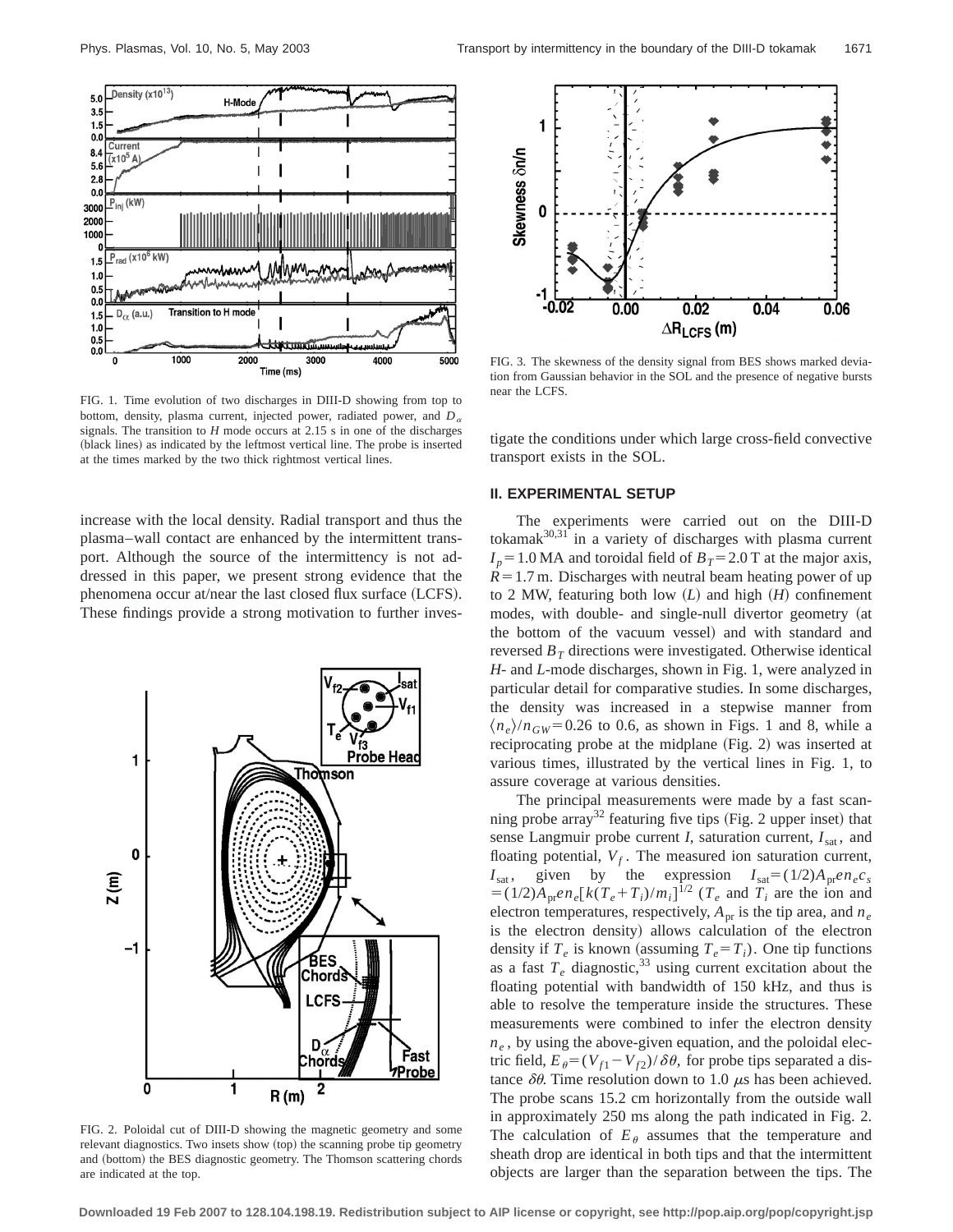

FIG. 1. Time evolution of two discharges in DIII-D showing from top to bottom, density, plasma current, injected power, radiated power, and  $D_{\alpha}$ signals. The transition to *H* mode occurs at 2.15 s in one of the discharges (black lines) as indicated by the leftmost vertical line. The probe is inserted at the times marked by the two thick rightmost vertical lines.

increase with the local density. Radial transport and thus the plasma–wall contact are enhanced by the intermittent transport. Although the source of the intermittency is not addressed in this paper, we present strong evidence that the phenomena occur at/near the last closed flux surface  $(LCFS)$ . These findings provide a strong motivation to further inves-



FIG. 2. Poloidal cut of DIII-D showing the magnetic geometry and some relevant diagnostics. Two insets show (top) the scanning probe tip geometry and (bottom) the BES diagnostic geometry. The Thomson scattering chords are indicated at the top.



FIG. 3. The skewness of the density signal from BES shows marked deviation from Gaussian behavior in the SOL and the presence of negative bursts near the LCFS.

tigate the conditions under which large cross-field convective transport exists in the SOL.

## **II. EXPERIMENTAL SETUP**

The experiments were carried out on the DIII-D tokamak $30,31$  in a variety of discharges with plasma current  $I_p = 1.0$  MA and toroidal field of  $B_T = 2.0$  T at the major axis,  $R=1.7$  m. Discharges with neutral beam heating power of up to 2 MW, featuring both low  $(L)$  and high  $(H)$  confinement modes, with double- and single-null divertor geometry (at the bottom of the vacuum vessel) and with standard and reversed  $B_T$  directions were investigated. Otherwise identical *H*- and *L*-mode discharges, shown in Fig. 1, were analyzed in particular detail for comparative studies. In some discharges, the density was increased in a stepwise manner from  $\langle n_e \rangle / n_{GW}$ =0.26 to 0.6, as shown in Figs. 1 and 8, while a reciprocating probe at the midplane (Fig. 2) was inserted at various times, illustrated by the vertical lines in Fig. 1, to assure coverage at various densities.

The principal measurements were made by a fast scanning probe array<sup>32</sup> featuring five tips (Fig. 2 upper inset) that sense Langmuir probe current  $I$ , saturation current,  $I_{\text{sat}}$ , and floating potential,  $V_f$ . The measured ion saturation current,  $I_{\text{sat}}$ , given by the expression  $I_{\text{sat}}=(1/2)A_{\text{pr}}e n_e c_s$  $= (1/2)A_{\text{pr}}en_e[k(T_e+T_i)/m_i]^{1/2}$  ( $T_e$  and  $T_i$  are the ion and electron temperatures, respectively,  $A_{pr}$  is the tip area, and  $n_e$ is the electron density) allows calculation of the electron density if  $T_e$  is known (assuming  $T_e = T_i$ ). One tip functions as a fast  $T_e$  diagnostic,<sup>33</sup> using current excitation about the floating potential with bandwidth of 150 kHz, and thus is able to resolve the temperature inside the structures. These measurements were combined to infer the electron density  $n_e$ , by using the above-given equation, and the poloidal electric field,  $E_{\theta} = (V_{f1} - V_{f2})/\delta\theta$ , for probe tips separated a distance  $\delta\theta$ . Time resolution down to 1.0  $\mu$ s has been achieved. The probe scans 15.2 cm horizontally from the outside wall in approximately 250 ms along the path indicated in Fig. 2. The calculation of  $E_{\theta}$  assumes that the temperature and sheath drop are identical in both tips and that the intermittent objects are larger than the separation between the tips. The

**Downloaded 19 Feb 2007 to 128.104.198.19. Redistribution subject to AIP license or copyright, see http://pop.aip.org/pop/copyright.jsp**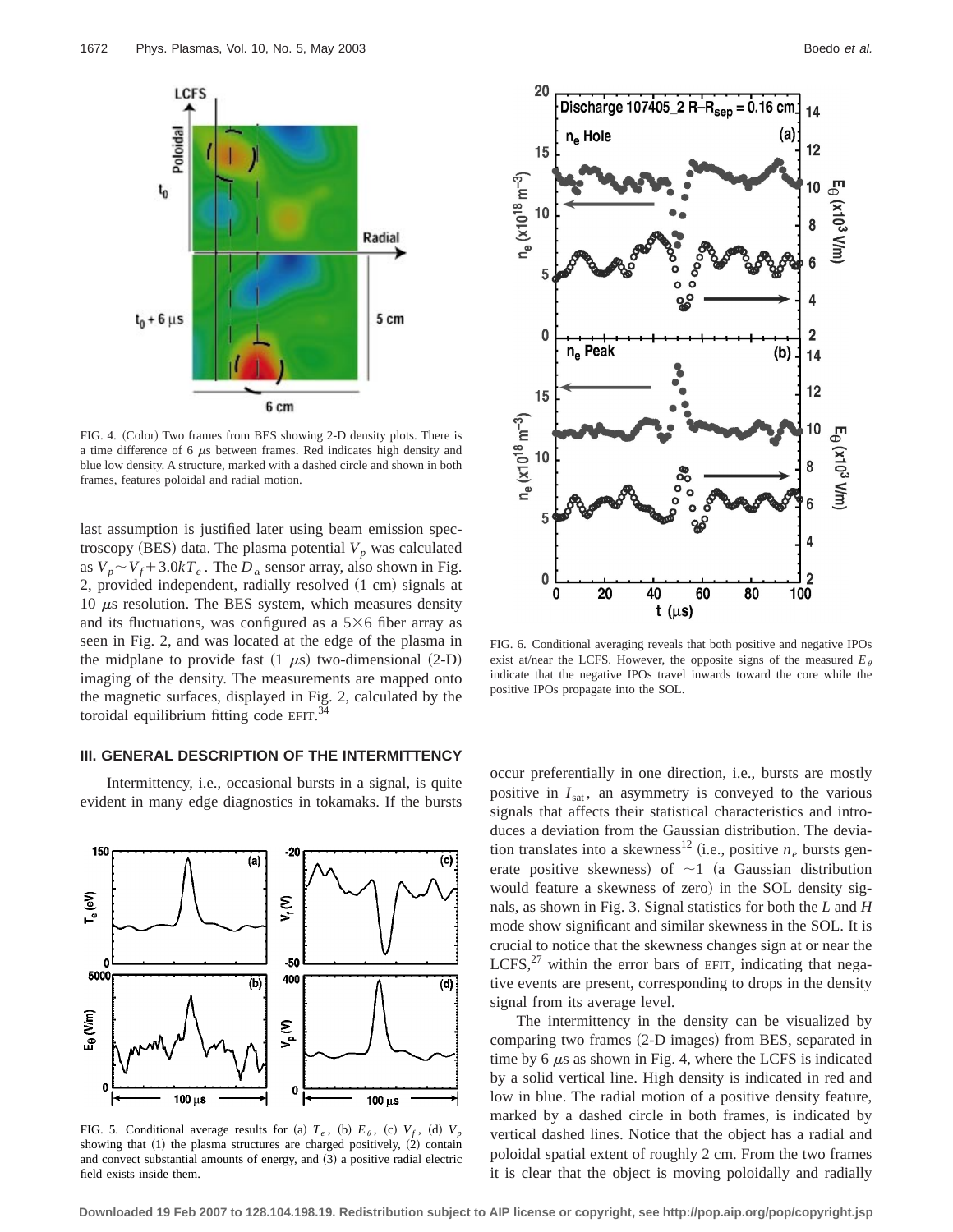

FIG. 4. (Color) Two frames from BES showing 2-D density plots. There is a time difference of 6  $\mu$ s between frames. Red indicates high density and blue low density. A structure, marked with a dashed circle and shown in both frames, features poloidal and radial motion.

last assumption is justified later using beam emission spectroscopy (BES) data. The plasma potential  $V_p$  was calculated as  $V_p \sim V_f + 3.0kT_e$ . The  $D_\alpha$  sensor array, also shown in Fig. 2, provided independent, radially resolved  $(1 \text{ cm})$  signals at 10  $\mu$ s resolution. The BES system, which measures density and its fluctuations, was configured as a  $5\times 6$  fiber array as seen in Fig. 2, and was located at the edge of the plasma in the midplane to provide fast  $(1 \mu s)$  two-dimensional  $(2-D)$ imaging of the density. The measurements are mapped onto the magnetic surfaces, displayed in Fig. 2, calculated by the toroidal equilibrium fitting code EFIT. $^{34}$ 

## **III. GENERAL DESCRIPTION OF THE INTERMITTENCY**

Intermittency, i.e., occasional bursts in a signal, is quite evident in many edge diagnostics in tokamaks. If the bursts



FIG. 5. Conditional average results for (a)  $T_e$ , (b)  $E_\theta$ , (c)  $V_f$ , (d)  $V_p$ showing that  $(1)$  the plasma structures are charged positively,  $(2)$  contain and convect substantial amounts of energy, and  $(3)$  a positive radial electric field exists inside them.



FIG. 6. Conditional averaging reveals that both positive and negative IPOs exist at/near the LCFS. However, the opposite signs of the measured  $E_{\theta}$ indicate that the negative IPOs travel inwards toward the core while the positive IPOs propagate into the SOL.

occur preferentially in one direction, i.e., bursts are mostly positive in  $I_{\text{sat}}$ , an asymmetry is conveyed to the various signals that affects their statistical characteristics and introduces a deviation from the Gaussian distribution. The deviation translates into a skewness<sup>12</sup> (i.e., positive  $n_e$  bursts generate positive skewness) of  $\sim$ 1 (a Gaussian distribution would feature a skewness of zero) in the SOL density signals, as shown in Fig. 3. Signal statistics for both the *L* and *H* mode show significant and similar skewness in the SOL. It is crucial to notice that the skewness changes sign at or near the LCFS, $^{27}$  within the error bars of EFIT, indicating that negative events are present, corresponding to drops in the density signal from its average level.

The intermittency in the density can be visualized by comparing two frames (2-D images) from BES, separated in time by  $6 \mu s$  as shown in Fig. 4, where the LCFS is indicated by a solid vertical line. High density is indicated in red and low in blue. The radial motion of a positive density feature, marked by a dashed circle in both frames, is indicated by vertical dashed lines. Notice that the object has a radial and poloidal spatial extent of roughly 2 cm. From the two frames it is clear that the object is moving poloidally and radially

**Downloaded 19 Feb 2007 to 128.104.198.19. Redistribution subject to AIP license or copyright, see http://pop.aip.org/pop/copyright.jsp**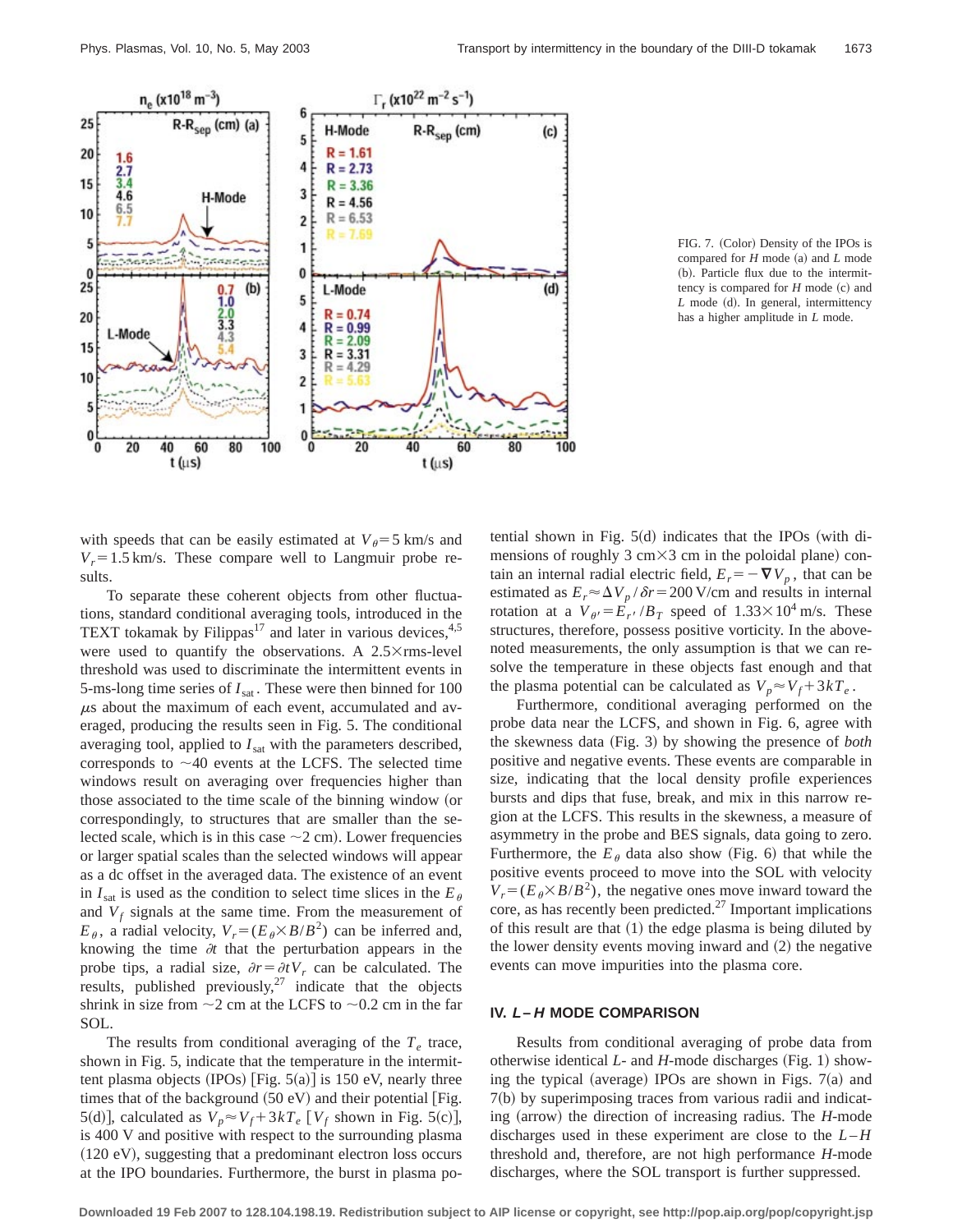

FIG. 7. (Color) Density of the IPOs is compared for  $H$  mode (a) and  $L$  mode (b). Particle flux due to the intermittency is compared for  $H$  mode  $(c)$  and *L* mode (d). In general, intermittency has a higher amplitude in *L* mode.

with speeds that can be easily estimated at  $V_\theta = 5$  km/s and  $V_r = 1.5$  km/s. These compare well to Langmuir probe results.

To separate these coherent objects from other fluctuations, standard conditional averaging tools, introduced in the TEXT tokamak by Filippas<sup>17</sup> and later in various devices,  $4.5$ were used to quantify the observations. A  $2.5\times$  rms-level threshold was used to discriminate the intermittent events in 5-ms-long time series of  $I_{\text{sat}}$ . These were then binned for 100  $\mu$ s about the maximum of each event, accumulated and averaged, producing the results seen in Fig. 5. The conditional averaging tool, applied to  $I<sub>sat</sub>$  with the parameters described, corresponds to  $\sim$ 40 events at the LCFS. The selected time windows result on averaging over frequencies higher than those associated to the time scale of the binning window (or correspondingly, to structures that are smaller than the selected scale, which is in this case  $\sim$  2 cm). Lower frequencies or larger spatial scales than the selected windows will appear as a dc offset in the averaged data. The existence of an event in  $I_{\text{sat}}$  is used as the condition to select time slices in the  $E_{\theta}$ and  $V_f$  signals at the same time. From the measurement of  $E_{\theta}$ , a radial velocity,  $V_r = (E_{\theta} \times B/B^2)$  can be inferred and, knowing the time  $\partial t$  that the perturbation appears in the probe tips, a radial size,  $\partial r = \partial t V_r$  can be calculated. The results, published previously, $27$  indicate that the objects shrink in size from  $\sim$ 2 cm at the LCFS to  $\sim$ 0.2 cm in the far SOL.

The results from conditional averaging of the  $T_e$  trace, shown in Fig. 5, indicate that the temperature in the intermittent plasma objects (IPOs) [Fig.  $5(a)$ ] is 150 eV, nearly three times that of the background  $(50 \text{ eV})$  and their potential  $[Fig.$ 5(d)], calculated as  $V_p \approx V_f + 3kT_e$  [ $V_f$  shown in Fig. 5(c)], is 400 V and positive with respect to the surrounding plasma  $(120 \text{ eV})$ , suggesting that a predominant electron loss occurs at the IPO boundaries. Furthermore, the burst in plasma potential shown in Fig.  $5(d)$  indicates that the IPOs (with dimensions of roughly  $3 \text{ cm} \times 3 \text{ cm}$  in the poloidal plane) contain an internal radial electric field,  $E_r = -\nabla V_p$ , that can be estimated as  $E_r \approx \Delta V_p / \delta r = 200$  V/cm and results in internal rotation at a  $V_{\theta} = E_{r} / B_T$  speed of  $1.33 \times 10^4$  m/s. These structures, therefore, possess positive vorticity. In the abovenoted measurements, the only assumption is that we can resolve the temperature in these objects fast enough and that the plasma potential can be calculated as  $V_p \approx V_f + 3kT_e$ .

Furthermore, conditional averaging performed on the probe data near the LCFS, and shown in Fig. 6, agree with the skewness data (Fig. 3) by showing the presence of *both* positive and negative events. These events are comparable in size, indicating that the local density profile experiences bursts and dips that fuse, break, and mix in this narrow region at the LCFS. This results in the skewness, a measure of asymmetry in the probe and BES signals, data going to zero. Furthermore, the  $E_{\theta}$  data also show (Fig. 6) that while the positive events proceed to move into the SOL with velocity  $V_r = (E_\theta \times B/B^2)$ , the negative ones move inward toward the core, as has recently been predicted.<sup>27</sup> Important implications of this result are that  $(1)$  the edge plasma is being diluted by the lower density events moving inward and  $(2)$  the negative events can move impurities into the plasma core.

#### **IV. L–H MODE COMPARISON**

Results from conditional averaging of probe data from otherwise identical  $L$ - and  $H$ -mode discharges (Fig. 1) showing the typical (average) IPOs are shown in Figs.  $7(a)$  and  $7(b)$  by superimposing traces from various radii and indicating (arrow) the direction of increasing radius. The *H*-mode discharges used in these experiment are close to the  $L-H$ threshold and, therefore, are not high performance *H*-mode discharges, where the SOL transport is further suppressed.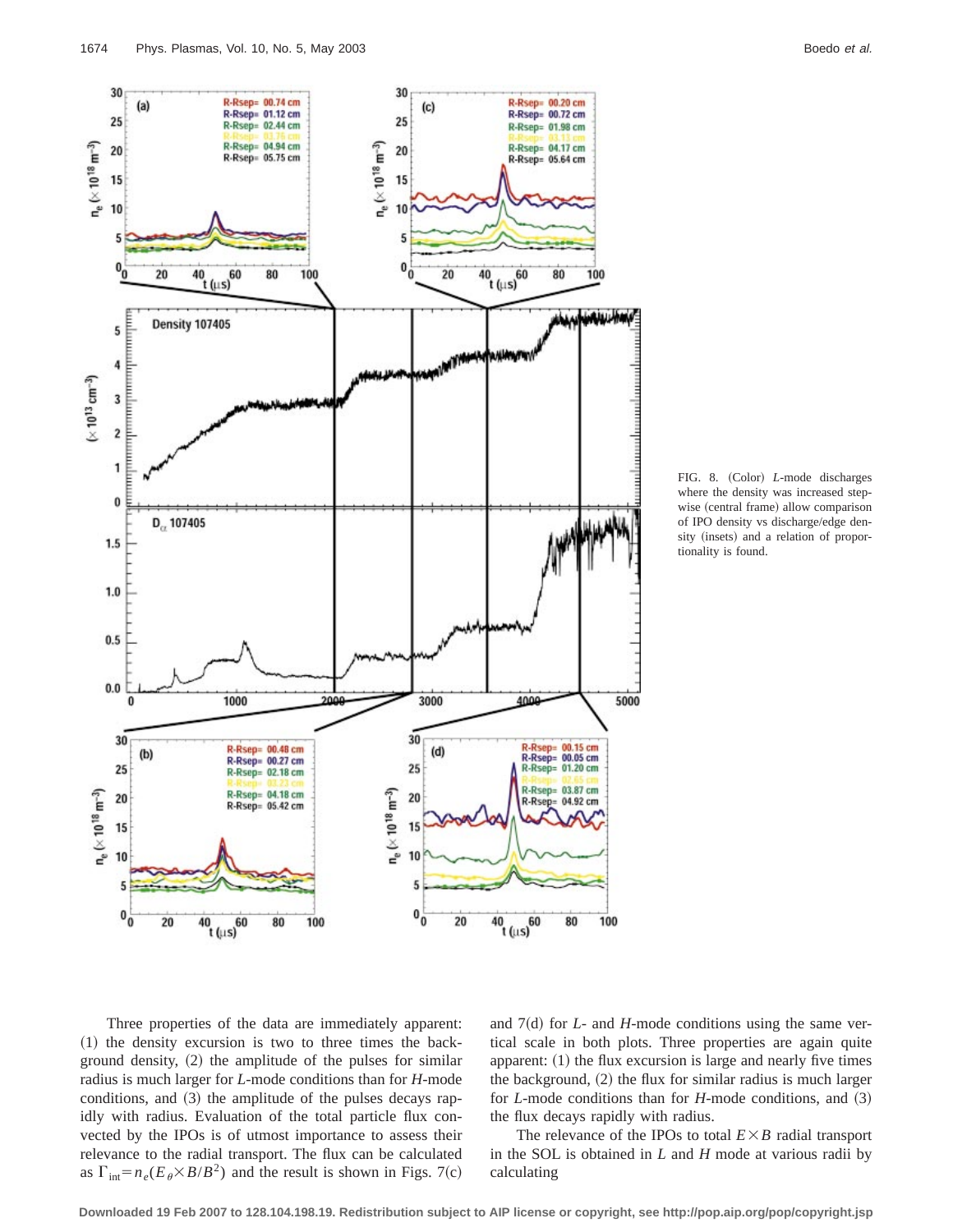R-Rsep= 00.74 cm

R-Rsep= 01.12 cm

R-Rsep= 02.44 cm

R-Rsep= 04.94 cm<br>R-Rsep= 05.75 cm

30

25

20

 $(a)$ 



FIG. 8. (Color) *L*-mode discharges where the density was increased stepwise (central frame) allow comparison of IPO density vs discharge/edge density (insets) and a relation of proportionality is found.





30

 $25$ 

20

 $(c)$ 

R-Rsep= 00.20 cm<br>R-Rsep= 00.72 cm

R-Rsep= 01.98 cm

R-Rsep= 04.17 cm

R-Rsep= 05.64 cm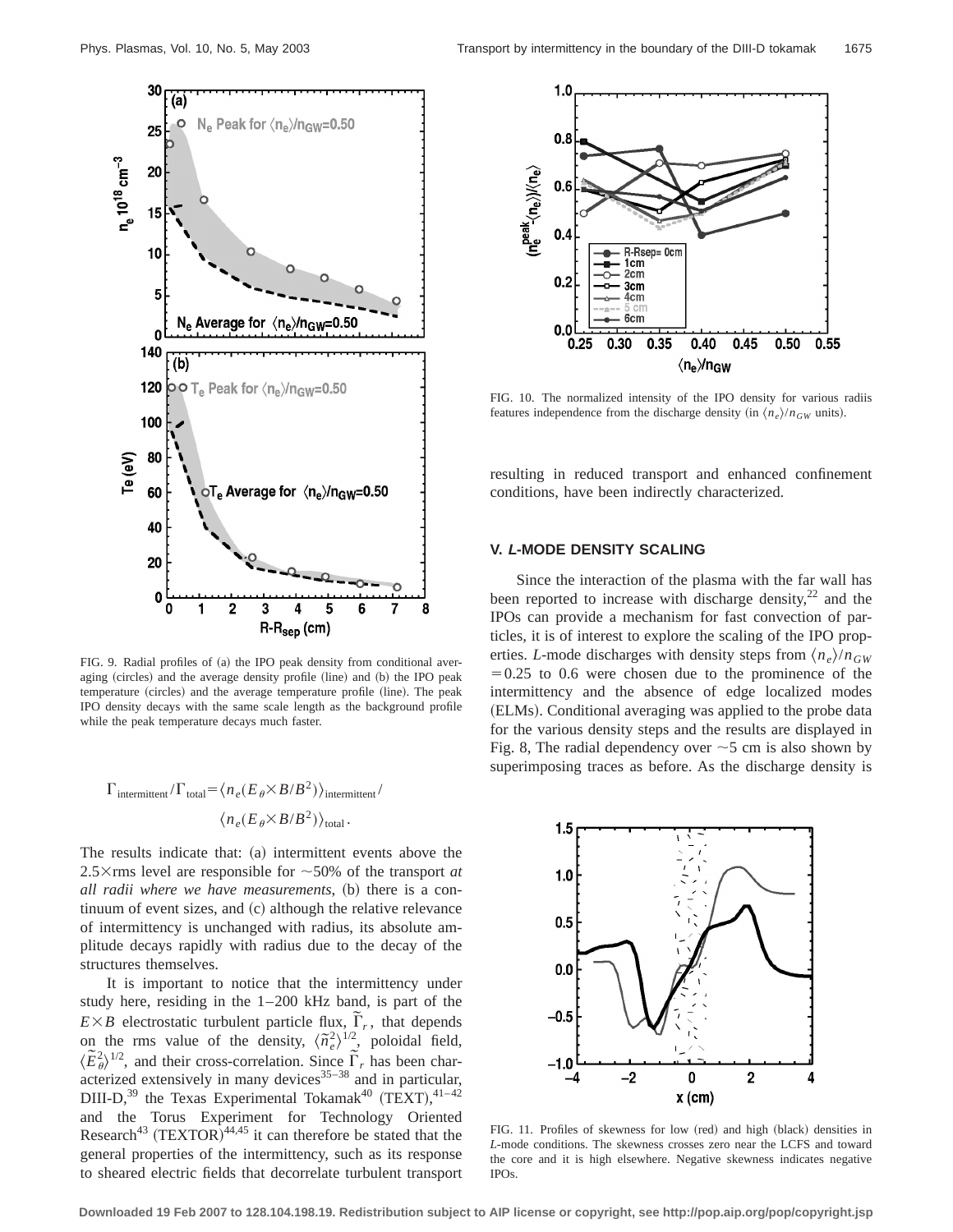

FIG. 9. Radial profiles of  $(a)$  the IPO peak density from conditional averaging (circles) and the average density profile (line) and (b) the IPO peak temperature (circles) and the average temperature profile (line). The peak IPO density decays with the same scale length as the background profile while the peak temperature decays much faster.

$$
\Gamma_{\text{intermittent}}/\Gamma_{\text{total}} = \langle n_e (E_\theta \times B/B^2) \rangle_{\text{intermittent}} / \sqrt{n_e (E_\theta \times B/B^2)} \rangle_{\text{total}}.
$$

The results indicate that:  $(a)$  intermittent events above the 2.5 $\times$ rms level are responsible for  $\sim$ 50% of the transport *at all radii where we have measurements*, (b) there is a continuum of event sizes, and  $(c)$  although the relative relevance of intermittency is unchanged with radius, its absolute amplitude decays rapidly with radius due to the decay of the structures themselves.

It is important to notice that the intermittency under study here, residing in the 1–200 kHz band, is part of the  $E \times B$  electrostatic turbulent particle flux,  $\tilde{\Gamma}_r$ , that depends on the rms value of the density,  $\langle \tilde{n}_e^2 \rangle^{1/2}$ , poloidal field,  $\langle \tilde{E}^2_{\theta} \rangle^{1/2}$ , and their cross-correlation. Since  $\tilde{\Gamma}_r$  has been characterized extensively in many devices $35-38$  and in particular, DIII-D,<sup>39</sup> the Texas Experimental Tokamak<sup>40</sup> (TEXT),  $41-42$ and the Torus Experiment for Technology Oriented Research<sup>43</sup> (TEXTOR)<sup>44,45</sup> it can therefore be stated that the general properties of the intermittency, such as its response to sheared electric fields that decorrelate turbulent transport



FIG. 10. The normalized intensity of the IPO density for various radiis features independence from the discharge density (in  $\langle n_e \rangle /n_{GW}$  units).

resulting in reduced transport and enhanced confinement conditions, have been indirectly characterized.

# **V. L-MODE DENSITY SCALING**

Since the interaction of the plasma with the far wall has been reported to increase with discharge density, $^{22}$  and the IPOs can provide a mechanism for fast convection of particles, it is of interest to explore the scaling of the IPO properties. *L*-mode discharges with density steps from  $\langle n_e \rangle / n_{GW}$  $=0.25$  to 0.6 were chosen due to the prominence of the intermittency and the absence of edge localized modes (ELMs). Conditional averaging was applied to the probe data for the various density steps and the results are displayed in Fig. 8, The radial dependency over  $\sim$  5 cm is also shown by superimposing traces as before. As the discharge density is



FIG. 11. Profiles of skewness for low (red) and high (black) densities in *L*-mode conditions. The skewness crosses zero near the LCFS and toward the core and it is high elsewhere. Negative skewness indicates negative IPOs.

**Downloaded 19 Feb 2007 to 128.104.198.19. Redistribution subject to AIP license or copyright, see http://pop.aip.org/pop/copyright.jsp**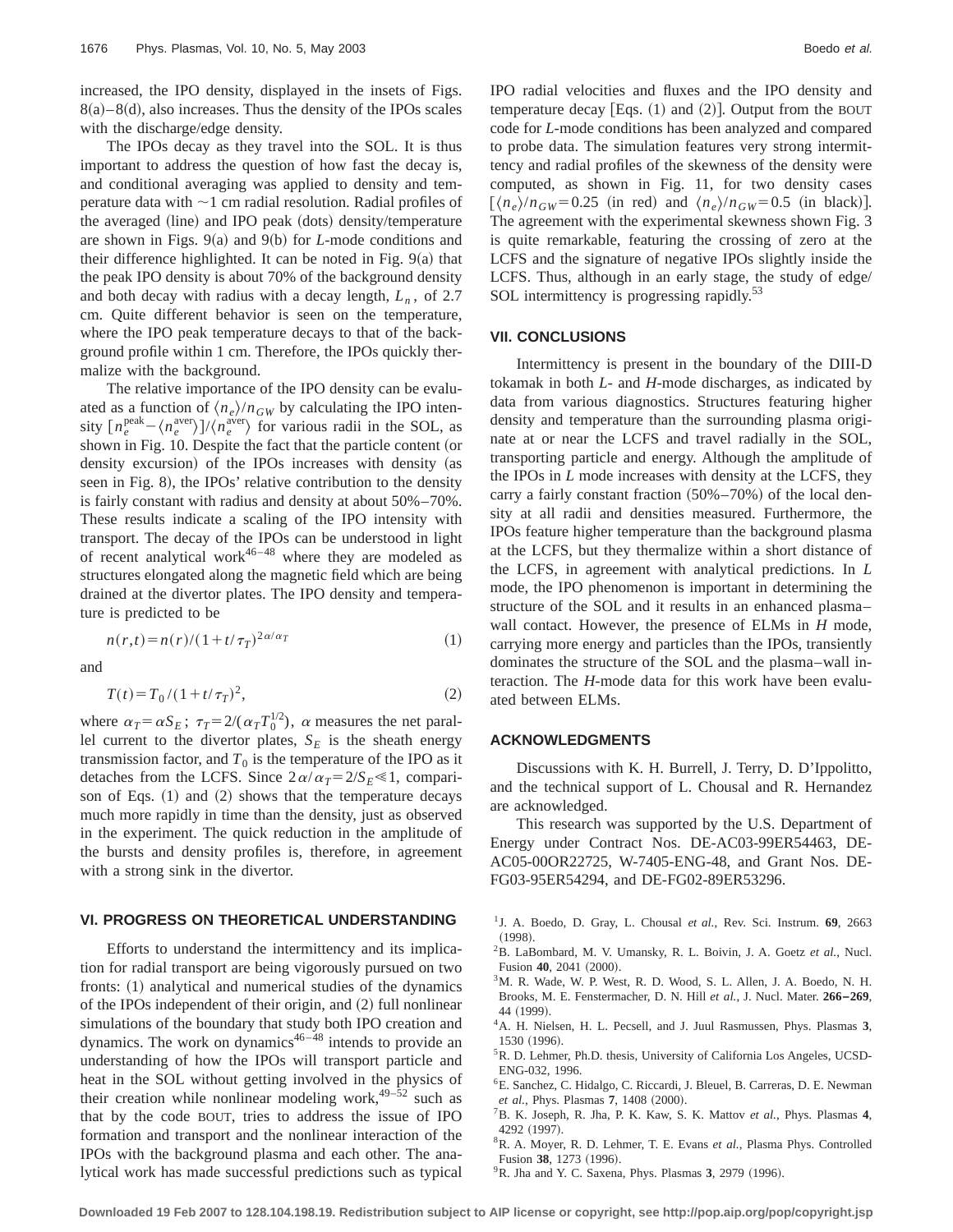increased, the IPO density, displayed in the insets of Figs.  $8(a) - 8(d)$ , also increases. Thus the density of the IPOs scales with the discharge/edge density.

The IPOs decay as they travel into the SOL. It is thus important to address the question of how fast the decay is, and conditional averaging was applied to density and temperature data with  $\sim$ 1 cm radial resolution. Radial profiles of the averaged (line) and IPO peak (dots) density/temperature are shown in Figs.  $9(a)$  and  $9(b)$  for *L*-mode conditions and their difference highlighted. It can be noted in Fig.  $9(a)$  that the peak IPO density is about 70% of the background density and both decay with radius with a decay length,  $L_n$ , of 2.7 cm. Quite different behavior is seen on the temperature, where the IPO peak temperature decays to that of the background profile within 1 cm. Therefore, the IPOs quickly thermalize with the background.

The relative importance of the IPO density can be evaluated as a function of  $\langle n_e \rangle / n_{GW}$  by calculating the IPO intensity  $\left[n_e^{\text{peak}}-\langle n_e^{\text{aver}}\rangle\right]/\langle n_e^{\text{aver}}\rangle$  for various radii in the SOL, as shown in Fig. 10. Despite the fact that the particle content (or density excursion) of the IPOs increases with density (as seen in Fig. 8), the IPOs' relative contribution to the density is fairly constant with radius and density at about 50%–70%. These results indicate a scaling of the IPO intensity with transport. The decay of the IPOs can be understood in light of recent analytical work $46-48$  where they are modeled as structures elongated along the magnetic field which are being drained at the divertor plates. The IPO density and temperature is predicted to be

$$
n(r,t) = n(r)/(1+t/\tau_T)^{2\alpha/\alpha_T} \tag{1}
$$

and

$$
T(t) = T_0 / (1 + t/\tau_T)^2,
$$
\n(2)

where  $\alpha_T = \alpha S_E$ ;  $\tau_T = 2/(\alpha_T T_0^{1/2})$ ,  $\alpha$  measures the net parallel current to the divertor plates,  $S_E$  is the sheath energy transmission factor, and  $T_0$  is the temperature of the IPO as it detaches from the LCFS. Since  $2\alpha/\alpha_T=2/S_E\ll 1$ , comparison of Eqs.  $(1)$  and  $(2)$  shows that the temperature decays much more rapidly in time than the density, just as observed in the experiment. The quick reduction in the amplitude of the bursts and density profiles is, therefore, in agreement with a strong sink in the divertor.

## **VI. PROGRESS ON THEORETICAL UNDERSTANDING**

Efforts to understand the intermittency and its implication for radial transport are being vigorously pursued on two fronts:  $(1)$  analytical and numerical studies of the dynamics of the IPOs independent of their origin, and  $(2)$  full nonlinear simulations of the boundary that study both IPO creation and dynamics. The work on dynamics $46-\frac{4}{8}$  intends to provide an understanding of how the IPOs will transport particle and heat in the SOL without getting involved in the physics of their creation while nonlinear modeling work, $49-52$  such as that by the code BOUT, tries to address the issue of IPO formation and transport and the nonlinear interaction of the IPOs with the background plasma and each other. The analytical work has made successful predictions such as typical IPO radial velocities and fluxes and the IPO density and temperature decay [Eqs.  $(1)$  and  $(2)$ ]. Output from the BOUT code for *L*-mode conditions has been analyzed and compared to probe data. The simulation features very strong intermittency and radial profiles of the skewness of the density were computed, as shown in Fig. 11, for two density cases  $\left[\langle n_e \rangle / n_{GW} = 0.25$  (in red) and  $\langle n_e \rangle / n_{GW} = 0.5$  (in black). The agreement with the experimental skewness shown Fig. 3 is quite remarkable, featuring the crossing of zero at the LCFS and the signature of negative IPOs slightly inside the LCFS. Thus, although in an early stage, the study of edge/ SOL intermittency is progressing rapidly.<sup>53</sup>

#### **VII. CONCLUSIONS**

Intermittency is present in the boundary of the DIII-D tokamak in both *L*- and *H*-mode discharges, as indicated by data from various diagnostics. Structures featuring higher density and temperature than the surrounding plasma originate at or near the LCFS and travel radially in the SOL, transporting particle and energy. Although the amplitude of the IPOs in *L* mode increases with density at the LCFS, they carry a fairly constant fraction  $(50\% - 70\%)$  of the local density at all radii and densities measured. Furthermore, the IPOs feature higher temperature than the background plasma at the LCFS, but they thermalize within a short distance of the LCFS, in agreement with analytical predictions. In *L* mode, the IPO phenomenon is important in determining the structure of the SOL and it results in an enhanced plasma– wall contact. However, the presence of ELMs in *H* mode, carrying more energy and particles than the IPOs, transiently dominates the structure of the SOL and the plasma–wall interaction. The *H*-mode data for this work have been evaluated between ELMs.

### **ACKNOWLEDGMENTS**

Discussions with K. H. Burrell, J. Terry, D. D'Ippolitto, and the technical support of L. Chousal and R. Hernandez are acknowledged.

This research was supported by the U.S. Department of Energy under Contract Nos. DE-AC03-99ER54463, DE-AC05-00OR22725, W-7405-ENG-48, and Grant Nos. DE-FG03-95ER54294, and DE-FG02-89ER53296.

- 1J. A. Boedo, D. Gray, L. Chousal *et al.*, Rev. Sci. Instrum. **69**, 2663  $(1998).$
- 2B. LaBombard, M. V. Umansky, R. L. Boivin, J. A. Goetz *et al.*, Nucl. Fusion 40, 2041 (2000).
- 3M. R. Wade, W. P. West, R. D. Wood, S. L. Allen, J. A. Boedo, N. H. Brooks, M. E. Fenstermacher, D. N. Hill *et al.*, J. Nucl. Mater. **266–269**, 44 (1999).
- 4A. H. Nielsen, H. L. Pecsell, and J. Juul Rasmussen, Phys. Plasmas **3**, 1530 (1996).
- <sup>5</sup>R. D. Lehmer, Ph.D. thesis, University of California Los Angeles, UCSD-ENG-032, 1996.
- 6E. Sanchez, C. Hidalgo, C. Riccardi, J. Bleuel, B. Carreras, D. E. Newman *et al.*, Phys. Plasmas 7, 1408 (2000).
- 7B. K. Joseph, R. Jha, P. K. Kaw, S. K. Mattov *et al.*, Phys. Plasmas **4**, 4292 (1997).
- 8R. A. Moyer, R. D. Lehmer, T. E. Evans *et al.*, Plasma Phys. Controlled Fusion 38, 1273 (1996).
- <sup>9</sup>R. Jha and Y. C. Saxena, Phys. Plasmas 3, 2979 (1996).